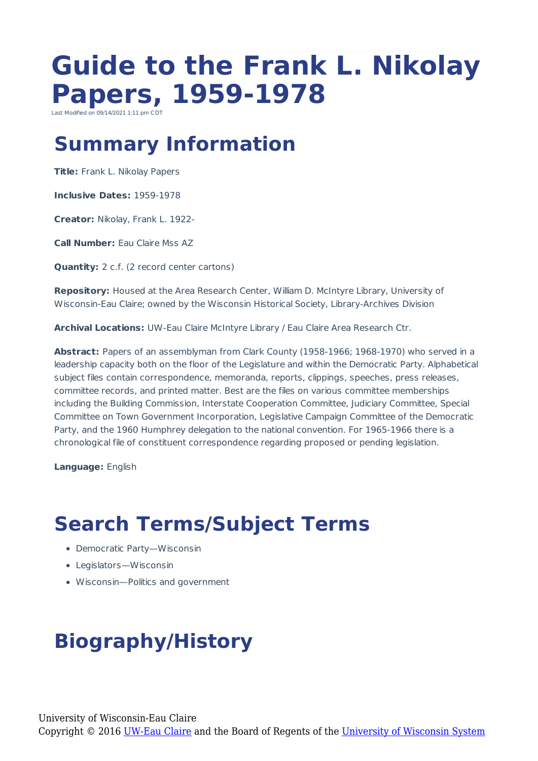# **Guide to the Frank L. Nikolay Papers, 1959-1978**

Last Modified on 09/14/2021 1:11 pm CD

## **Summary Information**

**Title:** Frank L. Nikolay Papers

**Inclusive Dates:** 1959-1978

**Creator:** Nikolay, Frank L. 1922-

**Call Number:** Eau Claire Mss AZ

**Quantity:** 2 c.f. (2 record center cartons)

**Repository:** Housed at the Area Research Center, William D. McIntyre Library, University of Wisconsin-Eau Claire; owned by the Wisconsin Historical Society, Library-Archives Division

**Archival Locations:** UW-Eau Claire McIntyre Library / Eau Claire Area Research Ctr.

Abstract: Papers of an assemblyman from Clark County (1958-1966; 1968-1970) who served in a leadership capacity both on the floor of the Legislature and within the Democratic Party. Alphabetical subject files contain correspondence, memoranda, reports, clippings, speeches, press releases, committee records, and printed matter. Best are the files on various committee memberships including the Building Commission, Interstate Cooperation Committee, Judiciary Committee, Special Committee on Town Government Incorporation, Legislative Campaign Committee of the Democratic Party, and the 1960 Humphrey delegation to the national convention. For 1965-1966 there is a chronological file of constituent correspondence regarding proposed or pending legislation.

**Language:** English

## **Search Terms/Subject Terms**

- Democratic Party—Wisconsin
- Legislators—Wisconsin
- Wisconsin—Politics and government

## **Biography/History**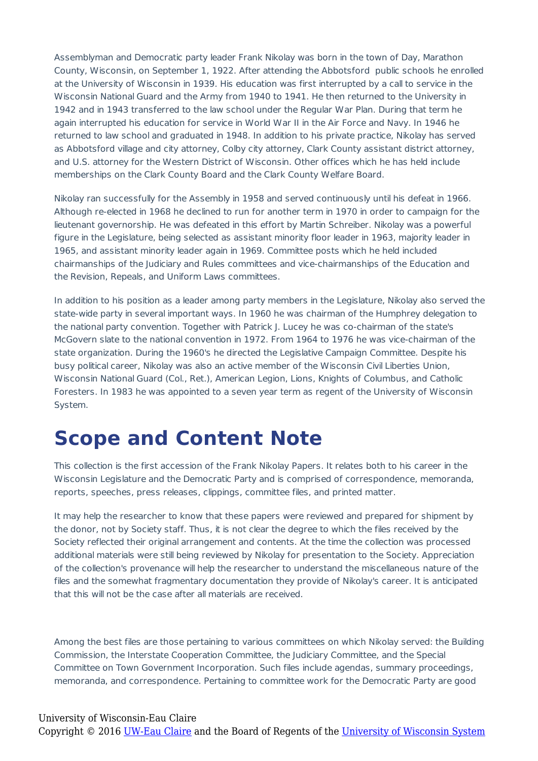Assemblyman and Democratic party leader Frank Nikolay was born in the town of Day, Marathon County, Wisconsin, on September 1, 1922. After attending the Abbotsford public schools he enrolled at the University of Wisconsin in 1939. His education was first interrupted by a call to service in the Wisconsin National Guard and the Army from 1940 to 1941. He then returned to the University in 1942 and in 1943 transferred to the law school under the Regular War Plan. During that term he again interrupted his education for service in World War II in the Air Force and Navy. In 1946 he returned to law school and graduated in 1948. In addition to his private practice, Nikolay has served as Abbotsford village and city attorney, Colby city attorney, Clark County assistant district attorney, and U.S. attorney for the Western District of Wisconsin. Other offices which he has held include memberships on the Clark County Board and the Clark County Welfare Board.

Nikolay ran successfully for the Assembly in 1958 and served continuously until his defeat in 1966. Although re-elected in 1968 he declined to run for another term in 1970 in order to campaign for the lieutenant governorship. He was defeated in this effort by Martin Schreiber. Nikolay was a powerful figure in the Legislature, being selected as assistant minority floor leader in 1963, majority leader in 1965, and assistant minority leader again in 1969. Committee posts which he held included chairmanships of the Judiciary and Rules committees and vice-chairmanships of the Education and the Revision, Repeals, and Uniform Laws committees.

In addition to his position as a leader among party members in the Legislature, Nikolay also served the state-wide party in several important ways. In 1960 he was chairman of the Humphrey delegation to the national party convention. Together with Patrick J. Lucey he was co-chairman of the state's McGovern slate to the national convention in 1972. From 1964 to 1976 he was vice-chairman of the state organization. During the 1960's he directed the Legislative Campaign Committee. Despite his busy political career, Nikolay was also an active member of the Wisconsin Civil Liberties Union, Wisconsin National Guard (Col., Ret.), American Legion, Lions, Knights of Columbus, and Catholic Foresters. In 1983 he was appointed to a seven year term as regent of the University of Wisconsin System.

### **Scope and Content Note**

This collection is the first accession of the Frank Nikolay Papers. It relates both to his career in the Wisconsin Legislature and the Democratic Party and is comprised of correspondence, memoranda, reports, speeches, press releases, clippings, committee files, and printed matter.

It may help the researcher to know that these papers were reviewed and prepared for shipment by the donor, not by Society staff. Thus, it is not clear the degree to which the files received by the Society reflected their original arrangement and contents. At the time the collection was processed additional materials were still being reviewed by Nikolay for presentation to the Society. Appreciation of the collection's provenance will help the researcher to understand the miscellaneous nature of the files and the somewhat fragmentary documentation they provide of Nikolay's career. It is anticipated that this will not be the case after all materials are received.

Among the best files are those pertaining to various committees on which Nikolay served: the Building Commission, the Interstate Cooperation Committee, the Judiciary Committee, and the Special Committee on Town Government Incorporation. Such files include agendas, summary proceedings, memoranda, and correspondence. Pertaining to committee work for the Democratic Party are good

#### University of Wisconsin-Eau Claire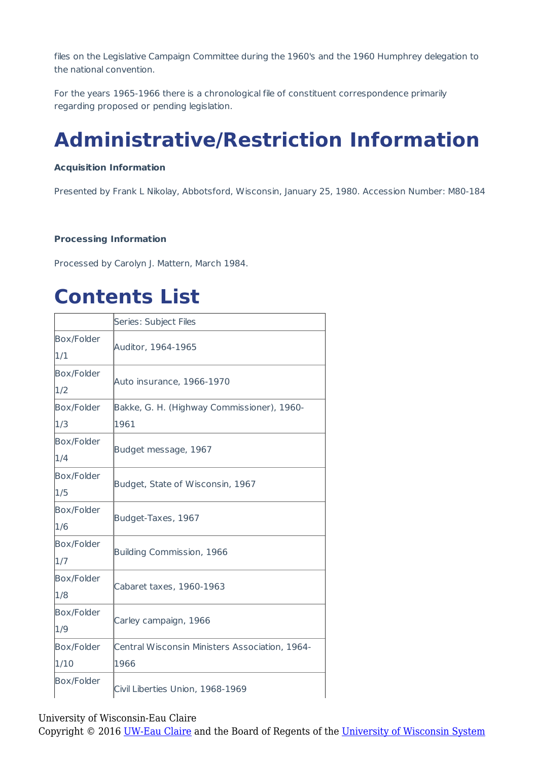files on the Legislative Campaign Committee during the 1960's and the 1960 Humphrey delegation to the national convention.

For the years 1965-1966 there is a chronological file of constituent correspondence primarily regarding proposed or pending legislation.

## **Administrative/Restriction Information**

#### **Acquisition Information**

Presented by Frank L Nikolay, Abbotsford, Wisconsin, January 25, 1980. Accession Number: M80-184

#### **Processing Information**

Processed by Carolyn J. Mattern, March 1984.

## **Contents List**

|                   | Series: Subject Files                          |
|-------------------|------------------------------------------------|
| Box/Folder        |                                                |
| 1/1               | Auditor, 1964-1965                             |
| Box/Folder        | Auto insurance, 1966-1970                      |
| 1/2               |                                                |
| Box/Folder        | Bakke, G. H. (Highway Commissioner), 1960-     |
| 1/3               | 1961                                           |
| <b>Box/Folder</b> | Budget message, 1967                           |
| 1/4               |                                                |
| <b>Box/Folder</b> | Budget, State of Wisconsin, 1967               |
| 1/5               |                                                |
| Box/Folder        |                                                |
| 1/6               | Budget-Taxes, 1967                             |
| Box/Folder        | Building Commission, 1966                      |
| 1/7               |                                                |
| Box/Folder        | Cabaret taxes, 1960-1963                       |
| 1/8               |                                                |
| Box/Folder        |                                                |
| 1/9               | Carley campaign, 1966                          |
| <b>Box/Folder</b> | Central Wisconsin Ministers Association, 1964- |
| 1/10              | 1966                                           |
| Box/Folder        | Civil Liberties Union, 1968-1969               |

University of Wisconsin-Eau Claire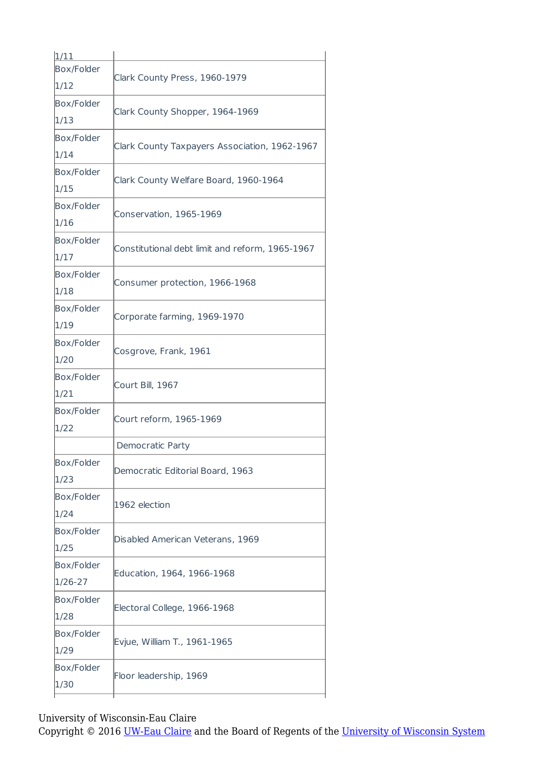| 1/11              |                                                 |
|-------------------|-------------------------------------------------|
| Box/Folder        |                                                 |
| 1/12              | Clark County Press, 1960-1979                   |
| Box/Folder        | Clark County Shopper, 1964-1969                 |
| 1/13              |                                                 |
| Box/Folder        |                                                 |
| 1/14              | Clark County Taxpayers Association, 1962-1967   |
| Box/Folder        | Clark County Welfare Board, 1960-1964           |
| 1/15              |                                                 |
| Box/Folder        | Conservation, 1965-1969                         |
| 1/16              |                                                 |
| Box/Folder        | Constitutional debt limit and reform, 1965-1967 |
| 1/17              |                                                 |
| Box/Folder        | Consumer protection, 1966-1968                  |
| 1/18              |                                                 |
| Box/Folder        | Corporate farming, 1969-1970                    |
| 1/19              |                                                 |
| Box/Folder        | Cosgrove, Frank, 1961                           |
| 1/20              |                                                 |
| Box/Folder        | Court Bill, 1967                                |
| 1/21              |                                                 |
| <b>Box/Folder</b> | Court reform, 1965-1969                         |
| 1/22              |                                                 |
|                   | Democratic Party                                |
| Box/Folder        | Democratic Editorial Board, 1963                |
| 1/23              |                                                 |
| Box/Folder        | 1962 election                                   |
| 1/24              |                                                 |
| Box/Folder        | Disabled American Veterans, 1969                |
| 1/25              |                                                 |
| Box/Folder        | Education, 1964, 1966-1968                      |
| 1/26-27           |                                                 |
| Box/Folder        |                                                 |
| 1/28              | Electoral College, 1966-1968                    |
|                   |                                                 |
| Box/Folder        | Evjue, William T., 1961-1965                    |
| 1/29              |                                                 |
| Box/Folder        | Floor leadership, 1969                          |

University of Wisconsin-Eau Claire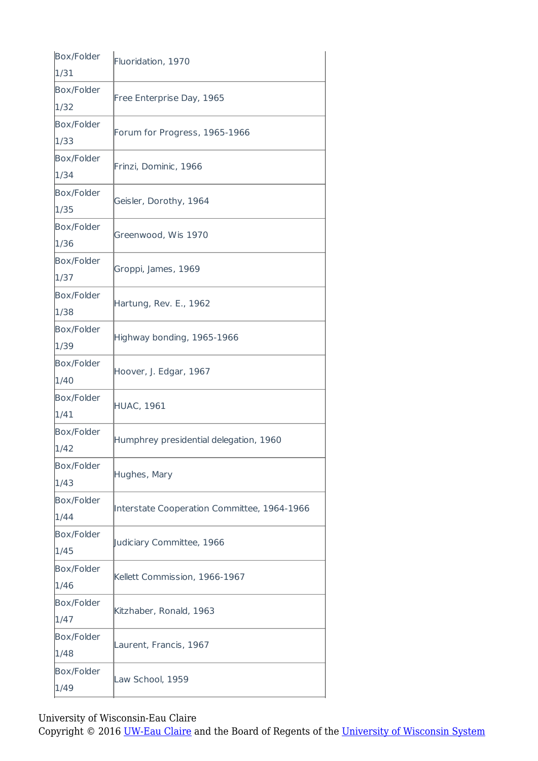| Box/Folder        | Fluoridation, 1970                          |
|-------------------|---------------------------------------------|
| 1/31              |                                             |
| <b>Box/Folder</b> | Free Enterprise Day, 1965                   |
| 1/32              |                                             |
| <b>Box/Folder</b> | Forum for Progress, 1965-1966               |
| 1/33              |                                             |
| Box/Folder        | Frinzi, Dominic, 1966                       |
| 1/34              |                                             |
| Box/Folder        | Geisler, Dorothy, 1964                      |
| 1/35              |                                             |
| Box/Folder        |                                             |
| 1/36              | Greenwood, Wis 1970                         |
| Box/Folder        | Groppi, James, 1969                         |
| 1/37              |                                             |
| Box/Folder        |                                             |
| 1/38              | Hartung, Rev. E., 1962                      |
| Box/Folder        |                                             |
| 1/39              | Highway bonding, 1965-1966                  |
| Box/Folder        |                                             |
| 1/40              | Hoover, J. Edgar, 1967                      |
| Box/Folder        | <b>HUAC, 1961</b>                           |
| 1/41              |                                             |
| <b>Box/Folder</b> |                                             |
| 1/42              | Humphrey presidential delegation, 1960      |
| Box/Folder        | Hughes, Mary                                |
| 1/43              |                                             |
| Box/Folder        |                                             |
| 1/44              | Interstate Cooperation Committee, 1964-1966 |
| Box/Folder        | Judiciary Committee, 1966                   |
| 1/45              |                                             |
| Box/Folder        | Kellett Commission, 1966-1967               |
| 1/46              |                                             |
| Box/Folder        |                                             |
| 1/47              | Kitzhaber, Ronald, 1963                     |
| Box/Folder        |                                             |
| 1/48              | Laurent, Francis, 1967                      |
| Box/Folder        |                                             |
| 1/49              | Law School, 1959                            |

University of Wisconsin-Eau Claire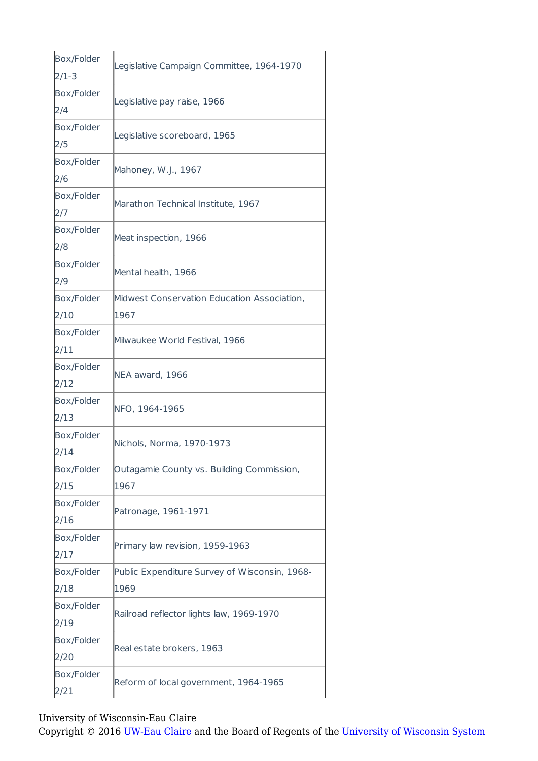| Box/Folder        | Legislative Campaign Committee, 1964-1970     |
|-------------------|-----------------------------------------------|
| $2/1-3$           |                                               |
| <b>Box/Folder</b> | Legislative pay raise, 1966                   |
| 2/4               |                                               |
| Box/Folder        |                                               |
| 2/5               | Legislative scoreboard, 1965                  |
| Box/Folder        |                                               |
| 2/6               | Mahoney, W.J., 1967                           |
| <b>Box/Folder</b> |                                               |
| 2/7               | Marathon Technical Institute, 1967            |
| <b>Box/Folder</b> | Meat inspection, 1966                         |
| 2/8               |                                               |
| Box/Folder        | Mental health, 1966                           |
| 2/9               |                                               |
| Box/Folder        | Midwest Conservation Education Association,   |
| 2/10              | 1967                                          |
| <b>Box/Folder</b> |                                               |
| 2/11              | Milwaukee World Festival, 1966                |
| Box/Folder        |                                               |
| 2/12              | NEA award, 1966                               |
| <b>Box/Folder</b> |                                               |
| 2/13              | NFO, 1964-1965                                |
| Box/Folder        | Nichols, Norma, 1970-1973                     |
| 2/14              |                                               |
| <b>Box/Folder</b> | Outagamie County vs. Building Commission,     |
| 2/15              | 1967                                          |
| <b>Box/Folder</b> | Patronage, 1961-1971                          |
| 2/16              |                                               |
| Box/Folder        |                                               |
| 2/17              | Primary law revision, 1959-1963               |
| Box/Folder        | Public Expenditure Survey of Wisconsin, 1968- |
| 2/18              | 1969                                          |
| Box/Folder        |                                               |
| 2/19              | Railroad reflector lights law, 1969-1970      |
| <b>Box/Folder</b> | Real estate brokers, 1963                     |
| 2/20              |                                               |
| Box/Folder        |                                               |
| 2/21              | Reform of local government, 1964-1965         |

University of Wisconsin-Eau Claire